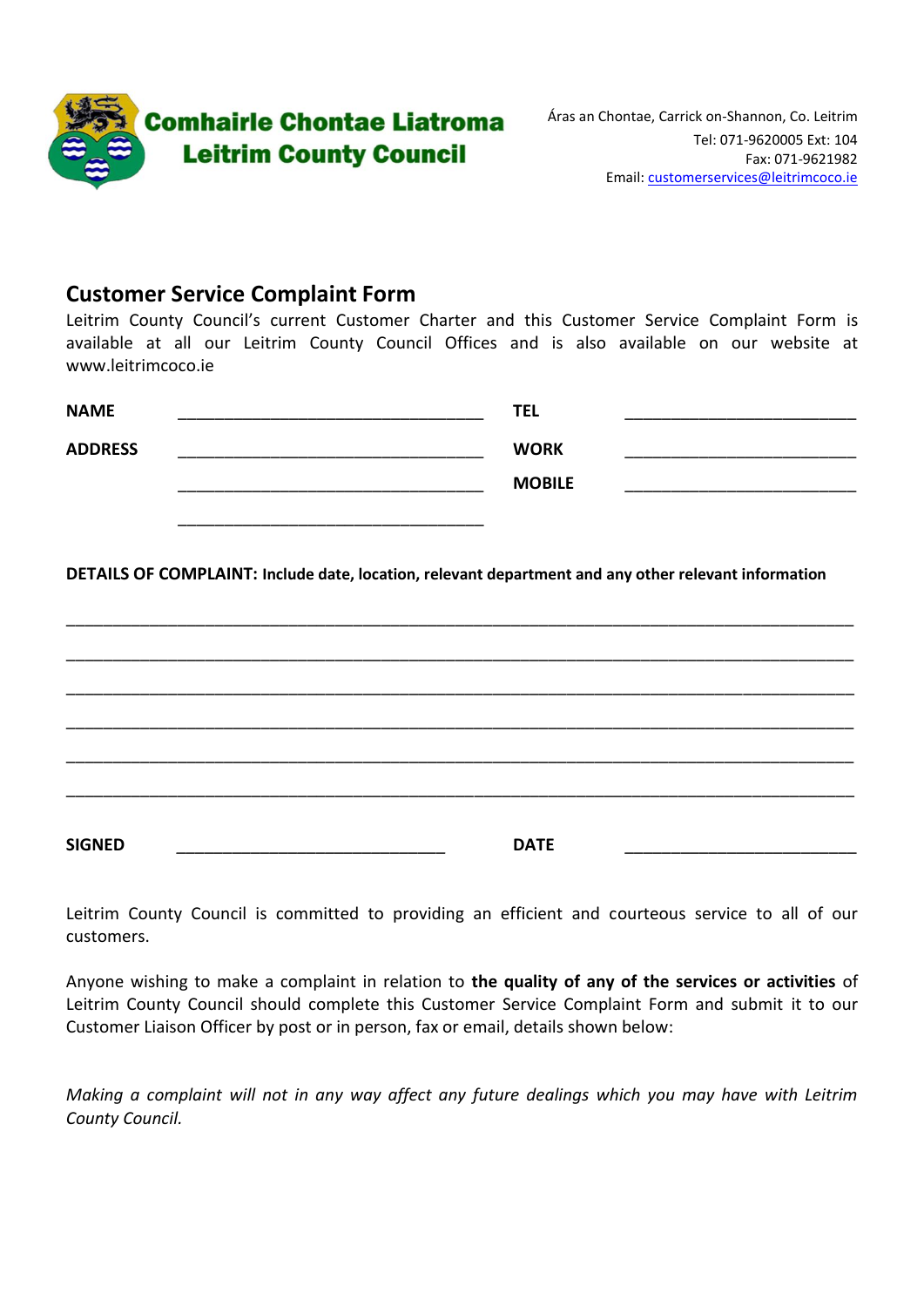

## **Customer Service Complaint Form**

Leitrim County Council's current Customer Charter and this Customer Service Complaint Form is available at all our Leitrim County Council Offices and is also available on our website at www.leitrimcoco.ie

| <b>NAME</b>    | <b>TEL</b>    |  |
|----------------|---------------|--|
| <b>ADDRESS</b> | <b>WORK</b>   |  |
|                | <b>MOBILE</b> |  |
|                |               |  |

**DETAILS OF COMPLAINT: Include date, location, relevant department and any other relevant information**

\_\_\_\_\_\_\_\_\_\_\_\_\_\_\_\_\_\_\_\_\_\_\_\_\_\_\_\_\_\_\_\_\_\_\_\_\_\_\_\_\_\_\_\_\_\_\_\_\_\_\_\_\_\_\_\_\_\_\_\_\_\_\_\_\_\_\_\_\_\_\_\_\_\_\_\_\_\_\_\_\_\_\_\_\_ \_\_\_\_\_\_\_\_\_\_\_\_\_\_\_\_\_\_\_\_\_\_\_\_\_\_\_\_\_\_\_\_\_\_\_\_\_\_\_\_\_\_\_\_\_\_\_\_\_\_\_\_\_\_\_\_\_\_\_\_\_\_\_\_\_\_\_\_\_\_\_\_\_\_\_\_\_\_\_\_\_\_\_\_\_ \_\_\_\_\_\_\_\_\_\_\_\_\_\_\_\_\_\_\_\_\_\_\_\_\_\_\_\_\_\_\_\_\_\_\_\_\_\_\_\_\_\_\_\_\_\_\_\_\_\_\_\_\_\_\_\_\_\_\_\_\_\_\_\_\_\_\_\_\_\_\_\_\_\_\_\_\_\_\_\_\_\_\_\_\_ \_\_\_\_\_\_\_\_\_\_\_\_\_\_\_\_\_\_\_\_\_\_\_\_\_\_\_\_\_\_\_\_\_\_\_\_\_\_\_\_\_\_\_\_\_\_\_\_\_\_\_\_\_\_\_\_\_\_\_\_\_\_\_\_\_\_\_\_\_\_\_\_\_\_\_\_\_\_\_\_\_\_\_\_\_ \_\_\_\_\_\_\_\_\_\_\_\_\_\_\_\_\_\_\_\_\_\_\_\_\_\_\_\_\_\_\_\_\_\_\_\_\_\_\_\_\_\_\_\_\_\_\_\_\_\_\_\_\_\_\_\_\_\_\_\_\_\_\_\_\_\_\_\_\_\_\_\_\_\_\_\_\_\_\_\_\_\_\_\_\_ \_\_\_\_\_\_\_\_\_\_\_\_\_\_\_\_\_\_\_\_\_\_\_\_\_\_\_\_\_\_\_\_\_\_\_\_\_\_\_\_\_\_\_\_\_\_\_\_\_\_\_\_\_\_\_\_\_\_\_\_\_\_\_\_\_\_\_\_\_\_\_\_\_\_\_\_\_\_\_\_\_\_\_\_\_ **SIGNED** *\_\_\_\_\_\_\_\_\_\_\_\_\_\_\_\_\_\_\_\_\_\_\_\_\_\_\_\_\_* **DATE** \_\_\_\_\_\_\_\_\_\_\_\_\_\_\_\_\_\_\_\_\_\_\_\_\_

Leitrim County Council is committed to providing an efficient and courteous service to all of our customers.

Anyone wishing to make a complaint in relation to **the quality of any of the services or activities** of Leitrim County Council should complete this Customer Service Complaint Form and submit it to our Customer Liaison Officer by post or in person, fax or email, details shown below:

*Making a complaint will not in any way affect any future dealings which you may have with Leitrim County Council.*